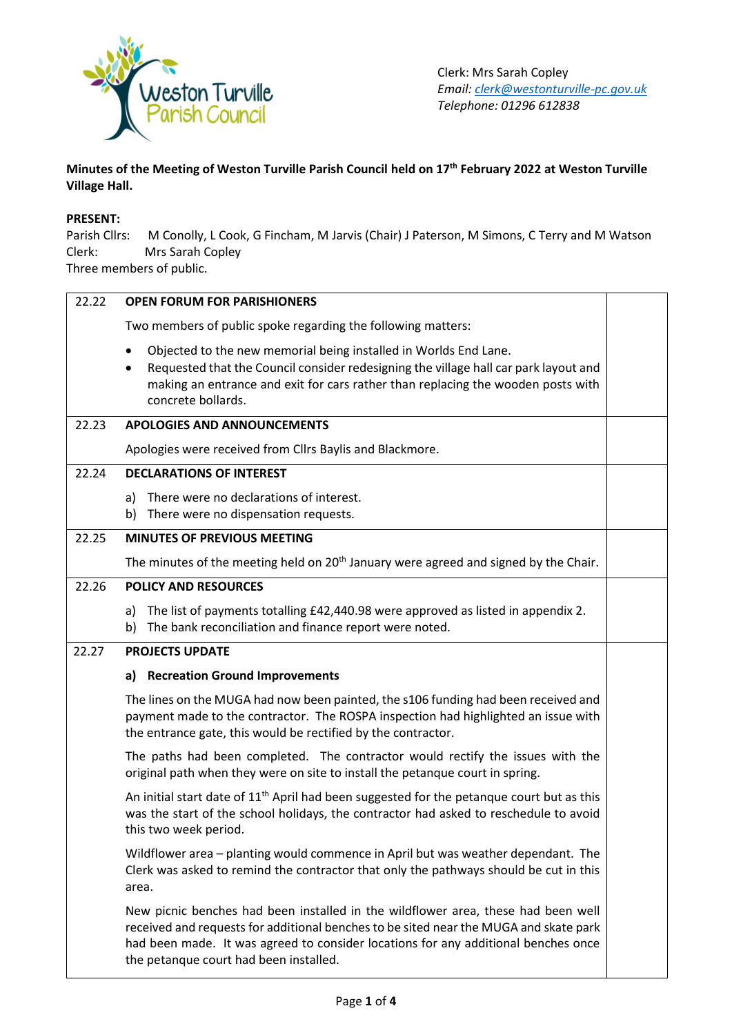

**Minutes of the Meeting of Weston Turville Parish Council held on 17th February 2022 at Weston Turville Village Hall.**

## **PRESENT:**

Parish Cllrs: M Conolly, L Cook, G Fincham, M Jarvis (Chair) J Paterson, M Simons, C Terry and M Watson Clerk: Mrs Sarah Copley

Three members of public.

| 22.22 | <b>OPEN FORUM FOR PARISHIONERS</b>                                                                                                                                                                                                                                                                         |  |  |  |  |
|-------|------------------------------------------------------------------------------------------------------------------------------------------------------------------------------------------------------------------------------------------------------------------------------------------------------------|--|--|--|--|
|       | Two members of public spoke regarding the following matters:                                                                                                                                                                                                                                               |  |  |  |  |
|       | Objected to the new memorial being installed in Worlds End Lane.<br>Requested that the Council consider redesigning the village hall car park layout and<br>making an entrance and exit for cars rather than replacing the wooden posts with<br>concrete bollards.                                         |  |  |  |  |
| 22.23 | <b>APOLOGIES AND ANNOUNCEMENTS</b>                                                                                                                                                                                                                                                                         |  |  |  |  |
|       | Apologies were received from Cllrs Baylis and Blackmore.                                                                                                                                                                                                                                                   |  |  |  |  |
| 22.24 | <b>DECLARATIONS OF INTEREST</b>                                                                                                                                                                                                                                                                            |  |  |  |  |
|       | There were no declarations of interest.<br>a)<br>There were no dispensation requests.<br>b)                                                                                                                                                                                                                |  |  |  |  |
| 22.25 | <b>MINUTES OF PREVIOUS MEETING</b>                                                                                                                                                                                                                                                                         |  |  |  |  |
|       | The minutes of the meeting held on 20 <sup>th</sup> January were agreed and signed by the Chair.                                                                                                                                                                                                           |  |  |  |  |
| 22.26 | <b>POLICY AND RESOURCES</b>                                                                                                                                                                                                                                                                                |  |  |  |  |
|       | The list of payments totalling £42,440.98 were approved as listed in appendix 2.<br>a)<br>The bank reconciliation and finance report were noted.<br>b)                                                                                                                                                     |  |  |  |  |
| 22.27 | <b>PROJECTS UPDATE</b>                                                                                                                                                                                                                                                                                     |  |  |  |  |
|       | <b>Recreation Ground Improvements</b><br>a)                                                                                                                                                                                                                                                                |  |  |  |  |
|       | The lines on the MUGA had now been painted, the s106 funding had been received and<br>payment made to the contractor. The ROSPA inspection had highlighted an issue with<br>the entrance gate, this would be rectified by the contractor.                                                                  |  |  |  |  |
|       | The paths had been completed. The contractor would rectify the issues with the<br>original path when they were on site to install the petanque court in spring.                                                                                                                                            |  |  |  |  |
|       | An initial start date of $11th$ April had been suggested for the petangue court but as this<br>was the start of the school holidays, the contractor had asked to reschedule to avoid<br>this two week period.                                                                                              |  |  |  |  |
|       | Wildflower area – planting would commence in April but was weather dependant. The<br>Clerk was asked to remind the contractor that only the pathways should be cut in this<br>area.                                                                                                                        |  |  |  |  |
|       | New picnic benches had been installed in the wildflower area, these had been well<br>received and requests for additional benches to be sited near the MUGA and skate park<br>had been made. It was agreed to consider locations for any additional benches once<br>the petanque court had been installed. |  |  |  |  |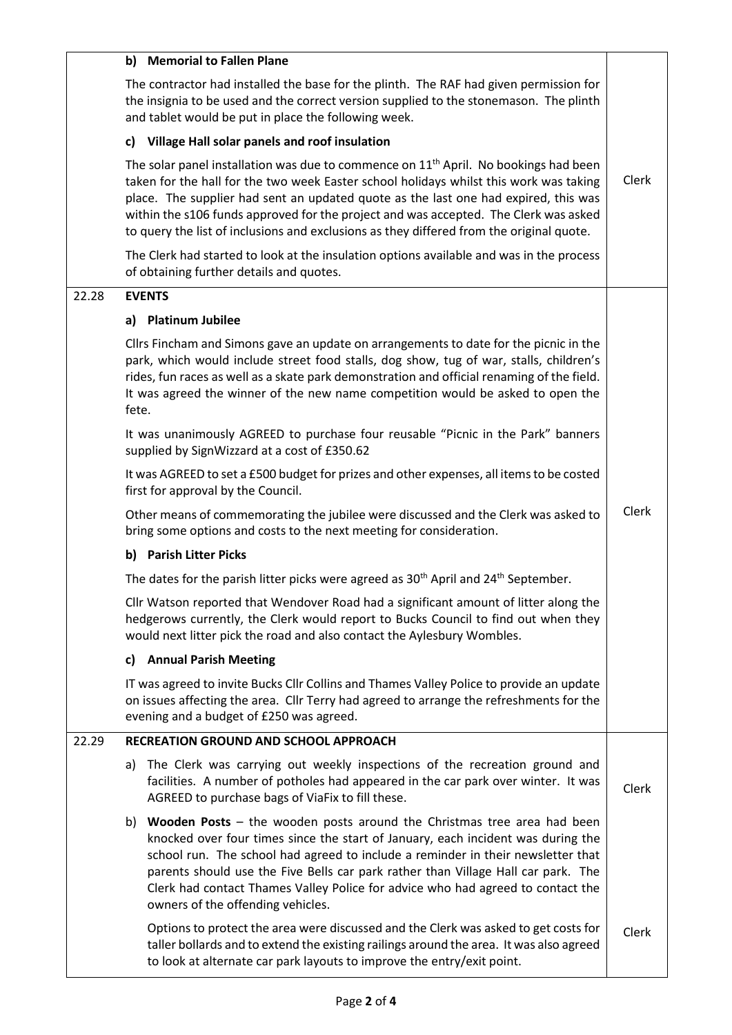|       | b) Memorial to Fallen Plane                                                                                                                                                                                                                                                                                                                                                                                                                                           |       |  |
|-------|-----------------------------------------------------------------------------------------------------------------------------------------------------------------------------------------------------------------------------------------------------------------------------------------------------------------------------------------------------------------------------------------------------------------------------------------------------------------------|-------|--|
|       | The contractor had installed the base for the plinth. The RAF had given permission for<br>the insignia to be used and the correct version supplied to the stonemason. The plinth<br>and tablet would be put in place the following week.                                                                                                                                                                                                                              |       |  |
|       | Village Hall solar panels and roof insulation<br>c)                                                                                                                                                                                                                                                                                                                                                                                                                   |       |  |
|       | The solar panel installation was due to commence on 11 <sup>th</sup> April. No bookings had been<br>taken for the hall for the two week Easter school holidays whilst this work was taking<br>place. The supplier had sent an updated quote as the last one had expired, this was<br>within the s106 funds approved for the project and was accepted. The Clerk was asked<br>to query the list of inclusions and exclusions as they differed from the original quote. | Clerk |  |
|       | The Clerk had started to look at the insulation options available and was in the process<br>of obtaining further details and quotes.                                                                                                                                                                                                                                                                                                                                  |       |  |
| 22.28 | <b>EVENTS</b>                                                                                                                                                                                                                                                                                                                                                                                                                                                         |       |  |
|       | a) Platinum Jubilee                                                                                                                                                                                                                                                                                                                                                                                                                                                   |       |  |
|       | Cllrs Fincham and Simons gave an update on arrangements to date for the picnic in the<br>park, which would include street food stalls, dog show, tug of war, stalls, children's<br>rides, fun races as well as a skate park demonstration and official renaming of the field.<br>It was agreed the winner of the new name competition would be asked to open the<br>fete.                                                                                             |       |  |
|       | It was unanimously AGREED to purchase four reusable "Picnic in the Park" banners<br>supplied by SignWizzard at a cost of £350.62                                                                                                                                                                                                                                                                                                                                      |       |  |
|       | It was AGREED to set a £500 budget for prizes and other expenses, all items to be costed<br>first for approval by the Council.                                                                                                                                                                                                                                                                                                                                        |       |  |
|       | Other means of commemorating the jubilee were discussed and the Clerk was asked to<br>bring some options and costs to the next meeting for consideration.                                                                                                                                                                                                                                                                                                             | Clerk |  |
|       | b) Parish Litter Picks                                                                                                                                                                                                                                                                                                                                                                                                                                                |       |  |
|       | The dates for the parish litter picks were agreed as $30th$ April and $24th$ September.                                                                                                                                                                                                                                                                                                                                                                               |       |  |
|       | Cllr Watson reported that Wendover Road had a significant amount of litter along the<br>hedgerows currently, the Clerk would report to Bucks Council to find out when they<br>would next litter pick the road and also contact the Aylesbury Wombles.                                                                                                                                                                                                                 |       |  |
|       | c) Annual Parish Meeting                                                                                                                                                                                                                                                                                                                                                                                                                                              |       |  |
|       | IT was agreed to invite Bucks Cllr Collins and Thames Valley Police to provide an update<br>on issues affecting the area. Cllr Terry had agreed to arrange the refreshments for the<br>evening and a budget of £250 was agreed.                                                                                                                                                                                                                                       |       |  |
| 22.29 | <b>RECREATION GROUND AND SCHOOL APPROACH</b>                                                                                                                                                                                                                                                                                                                                                                                                                          |       |  |
|       | The Clerk was carrying out weekly inspections of the recreation ground and<br>a)<br>facilities. A number of potholes had appeared in the car park over winter. It was<br>AGREED to purchase bags of ViaFix to fill these.                                                                                                                                                                                                                                             | Clerk |  |
|       | b) Wooden Posts $-$ the wooden posts around the Christmas tree area had been<br>knocked over four times since the start of January, each incident was during the<br>school run. The school had agreed to include a reminder in their newsletter that<br>parents should use the Five Bells car park rather than Village Hall car park. The<br>Clerk had contact Thames Valley Police for advice who had agreed to contact the<br>owners of the offending vehicles.     |       |  |
|       | Options to protect the area were discussed and the Clerk was asked to get costs for<br>taller bollards and to extend the existing railings around the area. It was also agreed<br>to look at alternate car park layouts to improve the entry/exit point.                                                                                                                                                                                                              | Clerk |  |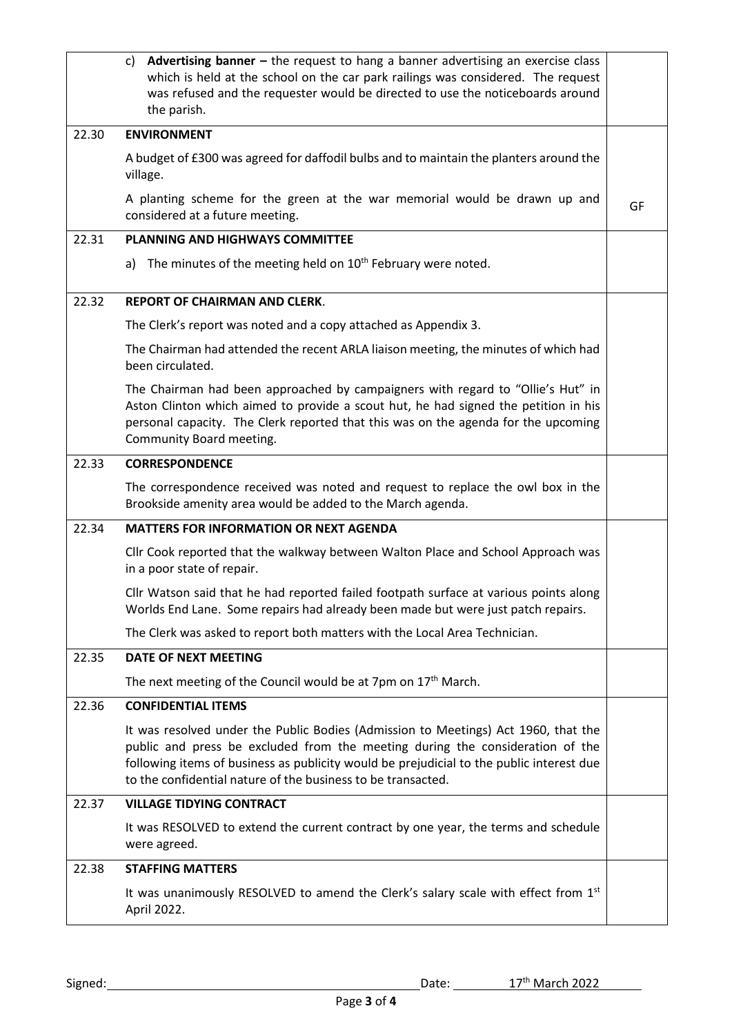|       | Advertising banner $-$ the request to hang a banner advertising an exercise class<br>C)<br>which is held at the school on the car park railings was considered. The request<br>was refused and the requester would be directed to use the noticeboards around<br>the parish.                                                    |    |  |  |
|-------|---------------------------------------------------------------------------------------------------------------------------------------------------------------------------------------------------------------------------------------------------------------------------------------------------------------------------------|----|--|--|
| 22.30 | <b>ENVIRONMENT</b>                                                                                                                                                                                                                                                                                                              |    |  |  |
|       | A budget of £300 was agreed for daffodil bulbs and to maintain the planters around the<br>village.                                                                                                                                                                                                                              |    |  |  |
|       | A planting scheme for the green at the war memorial would be drawn up and<br>considered at a future meeting.                                                                                                                                                                                                                    | GF |  |  |
| 22.31 | <b>PLANNING AND HIGHWAYS COMMITTEE</b>                                                                                                                                                                                                                                                                                          |    |  |  |
|       | The minutes of the meeting held on 10 <sup>th</sup> February were noted.<br>a)                                                                                                                                                                                                                                                  |    |  |  |
| 22.32 | <b>REPORT OF CHAIRMAN AND CLERK.</b>                                                                                                                                                                                                                                                                                            |    |  |  |
|       | The Clerk's report was noted and a copy attached as Appendix 3.                                                                                                                                                                                                                                                                 |    |  |  |
|       | The Chairman had attended the recent ARLA liaison meeting, the minutes of which had<br>been circulated.                                                                                                                                                                                                                         |    |  |  |
|       | The Chairman had been approached by campaigners with regard to "Ollie's Hut" in<br>Aston Clinton which aimed to provide a scout hut, he had signed the petition in his<br>personal capacity. The Clerk reported that this was on the agenda for the upcoming<br>Community Board meeting.                                        |    |  |  |
| 22.33 | <b>CORRESPONDENCE</b>                                                                                                                                                                                                                                                                                                           |    |  |  |
|       | The correspondence received was noted and request to replace the owl box in the<br>Brookside amenity area would be added to the March agenda.                                                                                                                                                                                   |    |  |  |
| 22.34 | <b>MATTERS FOR INFORMATION OR NEXT AGENDA</b>                                                                                                                                                                                                                                                                                   |    |  |  |
|       | Cllr Cook reported that the walkway between Walton Place and School Approach was<br>in a poor state of repair.                                                                                                                                                                                                                  |    |  |  |
|       | Cllr Watson said that he had reported failed footpath surface at various points along<br>Worlds End Lane. Some repairs had already been made but were just patch repairs.                                                                                                                                                       |    |  |  |
|       | The Clerk was asked to report both matters with the Local Area Technician.                                                                                                                                                                                                                                                      |    |  |  |
| 22.35 | <b>DATE OF NEXT MEETING</b>                                                                                                                                                                                                                                                                                                     |    |  |  |
|       | The next meeting of the Council would be at 7pm on 17 <sup>th</sup> March.                                                                                                                                                                                                                                                      |    |  |  |
| 22.36 | <b>CONFIDENTIAL ITEMS</b>                                                                                                                                                                                                                                                                                                       |    |  |  |
|       | It was resolved under the Public Bodies (Admission to Meetings) Act 1960, that the<br>public and press be excluded from the meeting during the consideration of the<br>following items of business as publicity would be prejudicial to the public interest due<br>to the confidential nature of the business to be transacted. |    |  |  |
| 22.37 | <b>VILLAGE TIDYING CONTRACT</b>                                                                                                                                                                                                                                                                                                 |    |  |  |
|       | It was RESOLVED to extend the current contract by one year, the terms and schedule<br>were agreed.                                                                                                                                                                                                                              |    |  |  |
| 22.38 | <b>STAFFING MATTERS</b>                                                                                                                                                                                                                                                                                                         |    |  |  |
|       | It was unanimously RESOLVED to amend the Clerk's salary scale with effect from 1st<br>April 2022.                                                                                                                                                                                                                               |    |  |  |
|       |                                                                                                                                                                                                                                                                                                                                 |    |  |  |